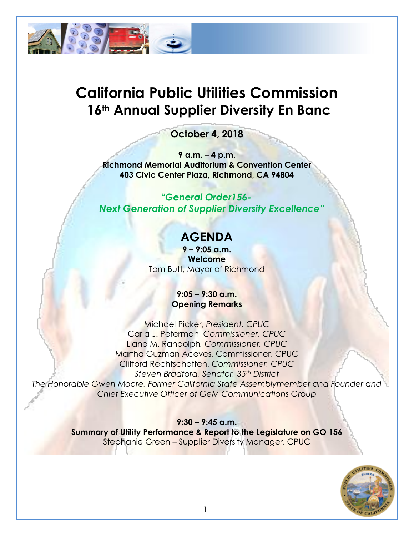

# **California Public Utilities Commission 16th Annual Supplier Diversity En Banc**

## **October 4, 2018**

**9 a.m. – 4 p.m. Richmond Memorial Auditorium & Convention Center 403 Civic Center Plaza, Richmond, CA 94804**

*"General Order156- Next Generation of Supplier Diversity Excellence"*

## **AGENDA**

**9 – 9:05 a.m. Welcome** Tom Butt, Mayor of Richmond

#### **9:05 – 9:30 a.m. Opening Remarks**

Michael Picker, *President, CPUC* Carla J. Peterman, *Commissioner, CPUC* Liane M. Randolph*, Commissioner, CPUC* Martha Guzman Aceves, Commissioner, CPUC Clifford Rechtschaffen, *Commissioner, CPUC Steven Bradford, Senator, 35th District* 

*The Honorable Gwen Moore, Former California State Assemblymember and Founder and Chief Executive Officer of GeM Communications Group*

#### **9:30 – 9:45 a.m.**

**Summary of Utility Performance & Report to the Legislature on GO 156** Stephanie Green – Supplier Diversity Manager, CPUC

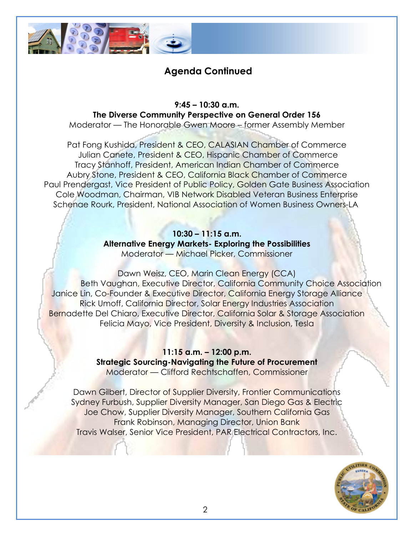

### **Agenda Continued**

**9:45 – 10:30 a.m. The Diverse Community Perspective on General Order 156**

Moderator — The Honorable Gwen Moore – former Assembly Member

Pat Fong Kushida, President & CEO, CALASIAN Chamber of Commerce Julian Canete, President & CEO, Hispanic Chamber of Commerce Tracy Stanhoff, President, American Indian Chamber of Commerce Aubry Stone, President & CEO, California Black Chamber of Commerce Paul Prendergast, Vice President of Public Policy, Golden Gate Business Association Cole Woodman, Chairman, VIB Network Disabled Veteran Business Enterprise Schenae Rourk, President, National Association of Women Business Owners-LA

#### **10:30 – 11:15 a.m. Alternative Energy Markets- Exploring the Possibilities** Moderator — Michael Picker, Commissioner

Dawn Weisz, CEO, Marin Clean Energy (CCA) Beth Vaughan, Executive Director, California Community Choice Association Janice Lin, Co-Founder & Executive Director, California Energy Storage Alliance Rick Umoff, California Director, Solar Energy Industries Association Bernadette Del Chiaro, Executive Director, California Solar & Storage Association Felicia Mayo, Vice President, Diversity & Inclusion, Tesla

> **11:15 a.m. – 12:00 p.m. Strategic Sourcing-Navigating the Future of Procurement** Moderator — Clifford Rechtschaffen, Commissioner

Dawn Gilbert, Director of Supplier Diversity, Frontier Communications Sydney Furbush, Supplier Diversity Manager, San Diego Gas & Electric Joe Chow, Supplier Diversity Manager, Southern California Gas Frank Robinson, Managing Director, Union Bank Travis Walser, Senior Vice President, PAR Electrical Contractors, Inc.

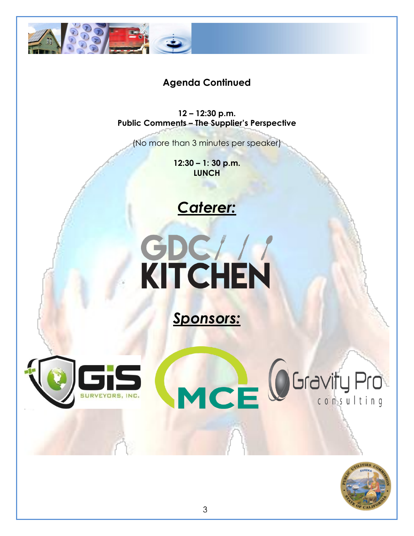

## **Agenda Continued**

**12 – 12:30 p.m. Public Comments – The Supplier's Perspective**

(No more than 3 minutes per speaker)

**12:30 – 1: 30 p.m. LUNCH**







MCE OGravity Pro